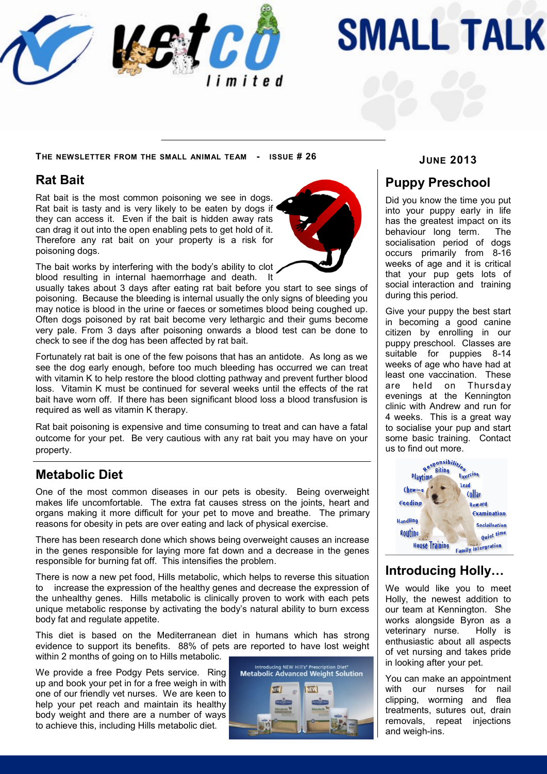

# **SMALL TALK**

**JUNE 2013 <sup>T</sup>HE NEWSLETTER FROM THE SMALL ANIMAL TEAM - ISSUE # 26**

#### **Rat Bait**

Rat bait is the most common poisoning we see in dogs. Rat bait is tasty and is very likely to be eaten by dogs if they can access it. Even if the bait is hidden away rats can drag it out into the open enabling pets to get hold of it. Therefore any rat bait on your property is a risk for poisoning dogs.



The bait works by interfering with the body's ability to clot blood resulting in internal haemorrhage and death. It

usually takes about 3 days after eating rat bait before you start to see sings of poisoning. Because the bleeding is internal usually the only signs of bleeding you may notice is blood in the urine or faeces or sometimes blood being coughed up. Often dogs poisoned by rat bait become very lethargic and their gums become very pale. From 3 days after poisoning onwards a blood test can be done to check to see if the dog has been affected by rat bait.

Fortunately rat bait is one of the few poisons that has an antidote. As long as we see the dog early enough, before too much bleeding has occurred we can treat with vitamin K to help restore the blood clotting pathway and prevent further blood loss. Vitamin K must be continued for several weeks until the effects of the rat bait have worn off. If there has been significant blood loss a blood transfusion is required as well as vitamin K therapy.

Rat bait poisoning is expensive and time consuming to treat and can have a fatal outcome for your pet. Be very cautious with any rat bait you may have on your property.

### **Metabolic Diet**

One of the most common diseases in our pets is obesity. Being overweight makes life uncomfortable. The extra fat causes stress on the joints, heart and organs making it more difficult for your pet to move and breathe. The primary reasons for obesity in pets are over eating and lack of physical exercise.

There has been research done which shows being overweight causes an increase in the genes responsible for laying more fat down and a decrease in the genes responsible for burning fat off. This intensifies the problem.

There is now a new pet food, Hills metabolic, which helps to reverse this situation to increase the expression of the healthy genes and decrease the expression of the unhealthy genes. Hills metabolic is clinically proven to work with each pets unique metabolic response by activating the body's natural ability to burn excess body fat and regulate appetite.

This diet is based on the Mediterranean diet in humans which has strong evidence to support its benefits. 88% of pets are reported to have lost weight within 2 months of going on to Hills metabolic.

We provide a free Podgy Pets service. Ring up and book your pet in for a free weigh in with one of our friendly vet nurses. We are keen to help your pet reach and maintain its healthy body weight and there are a number of ways to achieve this, including Hills metabolic diet.



#### **Puppy Preschool**

Did you know the time you put into your puppy early in life has the greatest impact on its behaviour long term. The socialisation period of dogs occurs primarily from 8-16 weeks of age and it is critical that your pup gets lots of social interaction and training during this period.

Give your puppy the best start in becoming a good canine citizen by enrolling in our puppy preschool. Classes are suitable for puppies 8-14 weeks of age who have had at least one vaccination. These are held on Thursday evenings at the Kennington clinic with Andrew and run for 4 weeks. This is a great way to socialise your pup and start some basic training. Contact us to find out more.



### **Introducing Holly…**

We would like you to meet Holly, the newest addition to our team at Kennington. She works alongside Byron as a veterinary nurse. Holly is enthusiastic about all aspects of vet nursing and takes pride in looking after your pet.

You can make an appointment with our nurses for nail clipping, worming and flea treatments, sutures out, drain removals, repeat injections and weigh-ins.